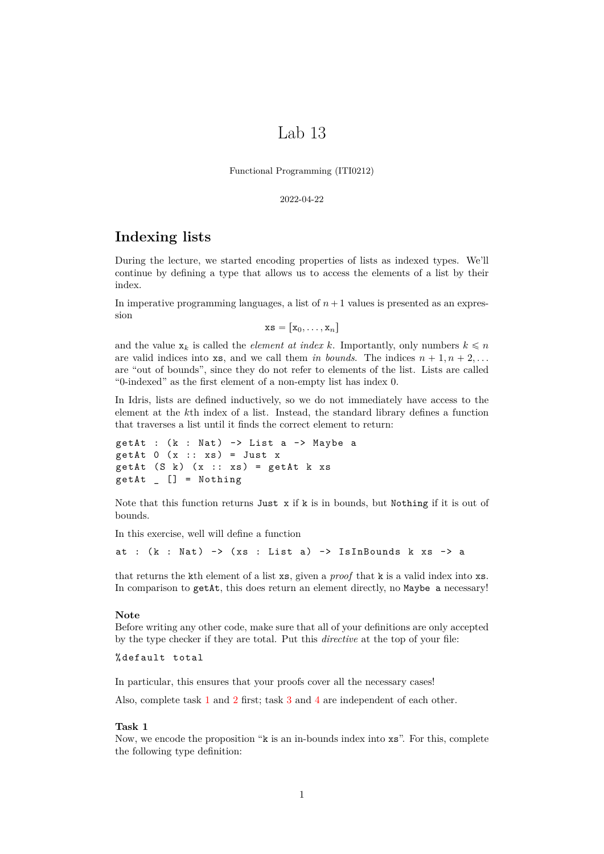# Lab 13

Functional Programming (ITI0212)

2022-04-22

# **Indexing lists**

During the lecture, we started encoding properties of lists as indexed types. We'll continue by defining a type that allows us to access the elements of a list by their index.

In imperative programming languages, a list of  $n+1$  values is presented as an expression

 $\mathbf{x}\mathbf{s} = [\mathbf{x}_0, \dots, \mathbf{x}_n]$ 

and the value  $x_k$  is called the *element at index k*. Importantly, only numbers  $k \leq n$ are valid indices into **xs**, and we call them *in bounds*. The indices  $n + 1, n + 2, \ldots$ are "out of bounds", since they do not refer to elements of the list. Lists are called "0-indexed" as the first element of a non-empty list has index 0.

In Idris, lists are defined inductively, so we do not immediately have access to the element at the *k*th index of a list. Instead, the standard library defines a function that traverses a list until it finds the correct element to return:

```
getAt : (k : Nat) \rightarrow List a \rightarrow Maybe agetAt 0 (x :: xs) = Just x
getAt (S k) (x :: xs) = getAt k xsgetAt _ [] = Nothing
```
Note that this function returns Just  $x$  if  $k$  is in bounds, but Nothing if it is out of bounds.

In this exercise, well will define a function

at :  $(k : Nat)$  ->  $(xs : List a)$  -> IsInBounds k xs -> a

that returns the kth element of a list xs, given a *proof* that k is a valid index into xs. In comparison to getAt, this does return an element directly, no Maybe a necessary!

### **Note**

Before writing any other code, make sure that all of your definitions are only accepted by the type checker if they are total. Put this *directive* at the top of your file:

% default total

In particular, this ensures that your proofs cover all the necessary cases!

Also, complete task [1](#page-0-0) and [2](#page-1-0) first; task [3](#page-1-1) and [4](#page-1-2) are independent of each other.

# <span id="page-0-0"></span>**Task 1**

Now, we encode the proposition "k is an in-bounds index into xs". For this, complete the following type definition: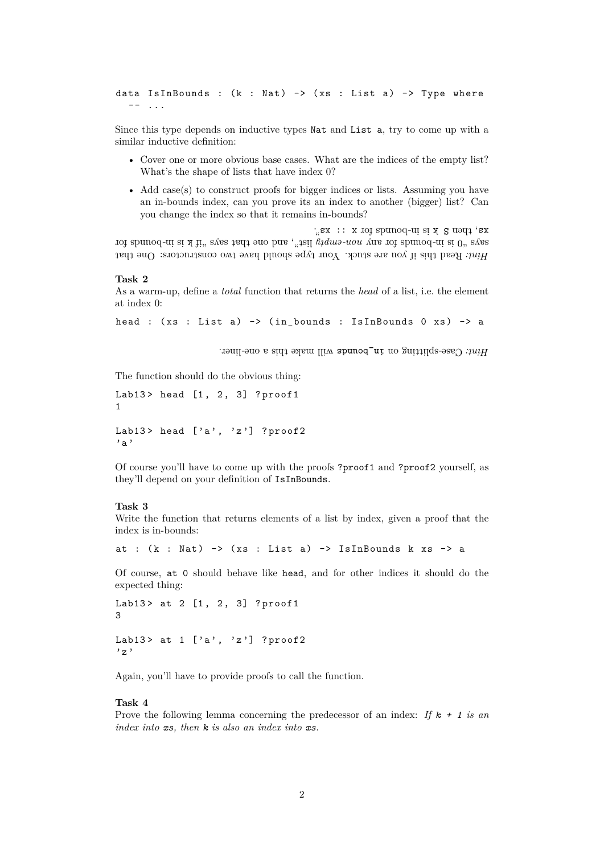data IsInBounds :  $(k : Nat)$  ->  $(xs : List a)$  -> Type where  $-- . . .$ 

Since this type depends on inductive types Nat and List a, try to come up with a similar inductive definition:

- Cover one or more obvious base cases. What are the indices of the empty list? What's the shape of lists that have index 0?
- Add case(s) to construct proofs for bigger indices or lists. Assuming you have an in-bounds index, can you prove its an index to another (bigger) list? Can you change the index so that it remains in-bounds?

Read this if you are stuck. Your type should have two constructors: One that *Hint:* iof abunod-in at x li<sup>2</sup> system bound for said that says that says along that says that says in  $\theta$ , and  $\theta$  is  $\theta$ , and  $\theta$  is  $\theta$ , and  $\theta$  is  $\theta$ , and  $\theta$  is  $\theta$ , and  $\theta$  is  $\theta$  is  $\theta$  is  $\theta$  is  $\theta$  is  $\theta$  $\therefore$ sx :: x iol spunoq-ui si x  $S$  uəqq 'sx

### <span id="page-1-0"></span>**Task 2**

As a warm-up, define a *total* function that returns the *head* of a list, i.e. the element at index 0:

```
head : (xs : List a) -> (in bounds : IsInBounds 0 xs) -> a
```
Will Case-splitting on in\_bounds will make this a one-liner.

The function should do the obvious thing:

```
Lab13> head [1, 2, 3] ? proof1
1
Lab13> head ['a', 'z'] ?proof2
'a'
```
Of course you'll have to come up with the proofs ?proof1 and ?proof2 yourself, as they'll depend on your definition of IsInBounds.

### <span id="page-1-1"></span>**Task 3**

Write the function that returns elements of a list by index, given a proof that the index is in-bounds:

at :  $(k : Nat)$  ->  $(xs : List a)$  -> IsInBounds k xs -> a

Of course, at 0 should behave like head, and for other indices it should do the expected thing:

```
Lab13> at 2 [1, 2, 3] ?proof1
3
Lab13> at 1 ['a', 'z'] ?proof2
' z '
```
Again, you'll have to provide proofs to call the function.

### <span id="page-1-2"></span>**Task 4**

Prove the following lemma concerning the predecessor of an index: *If k + 1 is an index into xs, then k is also an index into xs.*